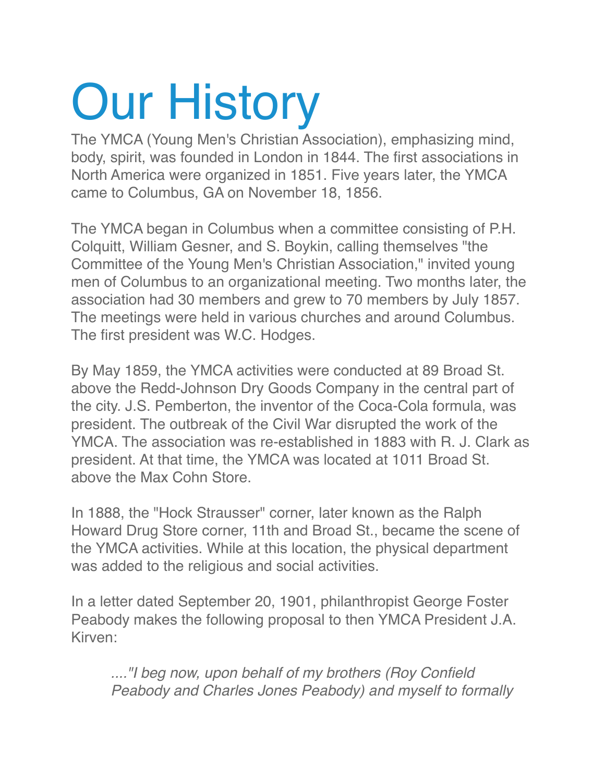# Our History

The YMCA (Young Men's Christian Association), emphasizing mind, body, spirit, was founded in London in 1844. The first associations in North America were organized in 1851. Five years later, the YMCA came to Columbus, GA on November 18, 1856.

The YMCA began in Columbus when a committee consisting of P.H. Colquitt, William Gesner, and S. Boykin, calling themselves "the Committee of the Young Men's Christian Association," invited young men of Columbus to an organizational meeting. Two months later, the association had 30 members and grew to 70 members by July 1857. The meetings were held in various churches and around Columbus. The first president was W.C. Hodges.

By May 1859, the YMCA activities were conducted at 89 Broad St. above the Redd-Johnson Dry Goods Company in the central part of the city. J.S. Pemberton, the inventor of the Coca-Cola formula, was president. The outbreak of the Civil War disrupted the work of the YMCA. The association was re-established in 1883 with R. J. Clark as president. At that time, the YMCA was located at 1011 Broad St. above the Max Cohn Store.

In 1888, the "Hock Strausser" corner, later known as the Ralph Howard Drug Store corner, 11th and Broad St., became the scene of the YMCA activities. While at this location, the physical department was added to the religious and social activities.

In a letter dated September 20, 1901, philanthropist George Foster Peabody makes the following proposal to then YMCA President J.A. Kirven:

*...."I beg now, upon behalf of my brothers (Roy Confield Peabody and Charles Jones Peabody) and myself to formally*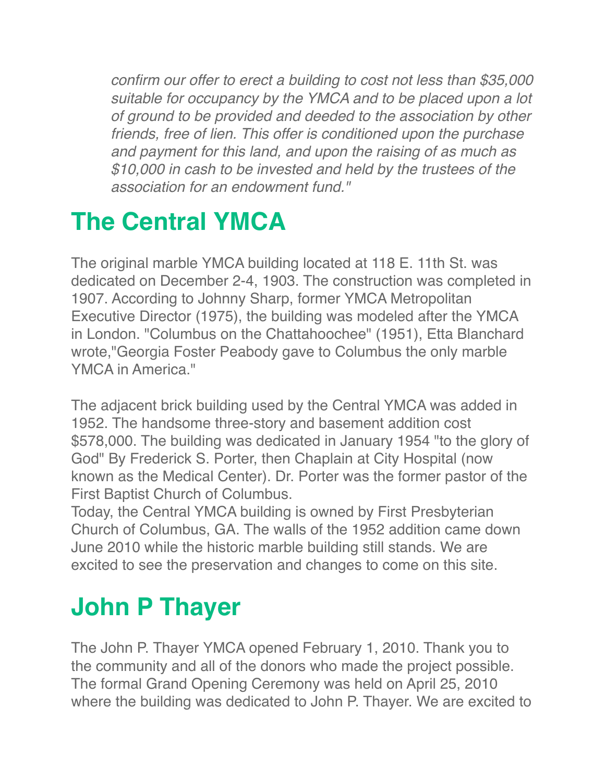*confirm our offer to erect a building to cost not less than \$35,000 suitable for occupancy by the YMCA and to be placed upon a lot of ground to be provided and deeded to the association by other friends, free of lien. This offer is conditioned upon the purchase and payment for this land, and upon the raising of as much as \$10,000 in cash to be invested and held by the trustees of the association for an endowment fund."*

### **The Central YMCA**

The original marble YMCA building located at 118 E. 11th St. was dedicated on December 2-4, 1903. The construction was completed in 1907. According to Johnny Sharp, former YMCA Metropolitan Executive Director (1975), the building was modeled after the YMCA in London. "Columbus on the Chattahoochee" (1951), Etta Blanchard wrote,"Georgia Foster Peabody gave to Columbus the only marble YMCA in America."

The adjacent brick building used by the Central YMCA was added in 1952. The handsome three-story and basement addition cost \$578,000. The building was dedicated in January 1954 "to the glory of God" By Frederick S. Porter, then Chaplain at City Hospital (now known as the Medical Center). Dr. Porter was the former pastor of the First Baptist Church of Columbus.

Today, the Central YMCA building is owned by First Presbyterian Church of Columbus, GA. The walls of the 1952 addition came down June 2010 while the historic marble building still stands. We are excited to see the preservation and changes to come on this site.

#### **John P Thayer**

The John P. Thayer YMCA opened February 1, 2010. Thank you to the community and all of the donors who made the project possible. The formal Grand Opening Ceremony was held on April 25, 2010 where the building was dedicated to John P. Thayer. We are excited to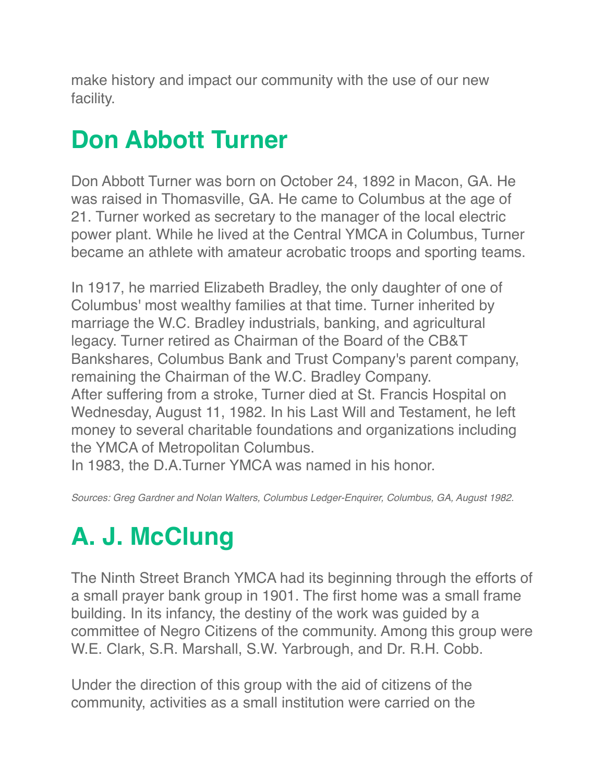make history and impact our community with the use of our new facility.

#### **Don Abbott Turner**

Don Abbott Turner was born on October 24, 1892 in Macon, GA. He was raised in Thomasville, GA. He came to Columbus at the age of 21. Turner worked as secretary to the manager of the local electric power plant. While he lived at the Central YMCA in Columbus, Turner became an athlete with amateur acrobatic troops and sporting teams.

In 1917, he married Elizabeth Bradley, the only daughter of one of Columbus' most wealthy families at that time. Turner inherited by marriage the W.C. Bradley industrials, banking, and agricultural legacy. Turner retired as Chairman of the Board of the CB&T Bankshares, Columbus Bank and Trust Company's parent company, remaining the Chairman of the W.C. Bradley Company. After suffering from a stroke, Turner died at St. Francis Hospital on Wednesday, August 11, 1982. In his Last Will and Testament, he left money to several charitable foundations and organizations including the YMCA of Metropolitan Columbus.

In 1983, the D.A.Turner YMCA was named in his honor.

*Sources: Greg Gardner and Nolan Walters, Columbus Ledger-Enquirer, Columbus, GA, August 1982.*

## **A. J. McClung**

The Ninth Street Branch YMCA had its beginning through the efforts of a small prayer bank group in 1901. The first home was a small frame building. In its infancy, the destiny of the work was guided by a committee of Negro Citizens of the community. Among this group were W.E. Clark, S.R. Marshall, S.W. Yarbrough, and Dr. R.H. Cobb.

Under the direction of this group with the aid of citizens of the community, activities as a small institution were carried on the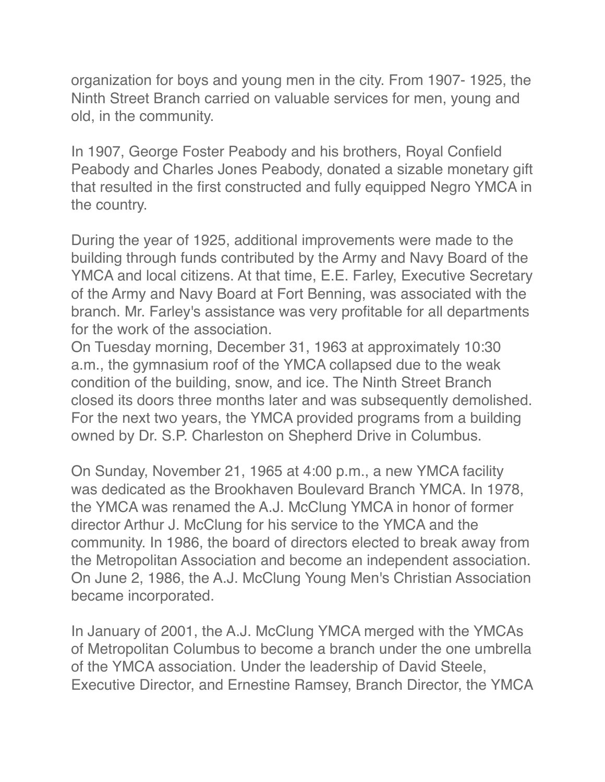organization for boys and young men in the city. From 1907- 1925, the Ninth Street Branch carried on valuable services for men, young and old, in the community.

In 1907, George Foster Peabody and his brothers, Royal Confield Peabody and Charles Jones Peabody, donated a sizable monetary gift that resulted in the first constructed and fully equipped Negro YMCA in the country.

During the year of 1925, additional improvements were made to the building through funds contributed by the Army and Navy Board of the YMCA and local citizens. At that time, E.E. Farley, Executive Secretary of the Army and Navy Board at Fort Benning, was associated with the branch. Mr. Farley's assistance was very profitable for all departments for the work of the association.

On Tuesday morning, December 31, 1963 at approximately 10:30 a.m., the gymnasium roof of the YMCA collapsed due to the weak condition of the building, snow, and ice. The Ninth Street Branch closed its doors three months later and was subsequently demolished. For the next two years, the YMCA provided programs from a building owned by Dr. S.P. Charleston on Shepherd Drive in Columbus.

On Sunday, November 21, 1965 at 4:00 p.m., a new YMCA facility was dedicated as the Brookhaven Boulevard Branch YMCA. In 1978, the YMCA was renamed the A.J. McClung YMCA in honor of former director Arthur J. McClung for his service to the YMCA and the community. In 1986, the board of directors elected to break away from the Metropolitan Association and become an independent association. On June 2, 1986, the A.J. McClung Young Men's Christian Association became incorporated.

In January of 2001, the A.J. McClung YMCA merged with the YMCAs of Metropolitan Columbus to become a branch under the one umbrella of the YMCA association. Under the leadership of David Steele, Executive Director, and Ernestine Ramsey, Branch Director, the YMCA